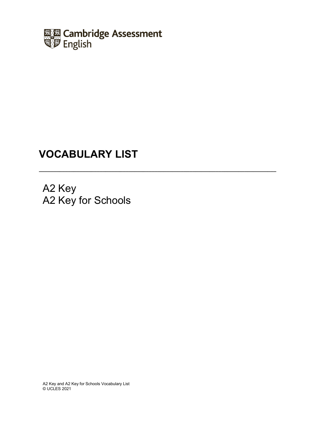

# **VOCABULARY LIST**

**\_\_\_\_\_\_\_\_\_\_\_\_\_\_\_\_\_\_\_\_\_\_\_\_\_\_\_\_\_\_\_\_\_\_\_\_\_\_\_\_\_\_\_\_\_\_\_\_\_\_\_\_\_\_\_\_\_\_\_\_\_\_\_\_\_\_\_\_\_\_\_\_\_\_\_\_\_\_\_\_\_\_**

A2 Key A2 Key for Schools

A2 Key and A2 Key for Schools Vocabulary List © UCLES 2021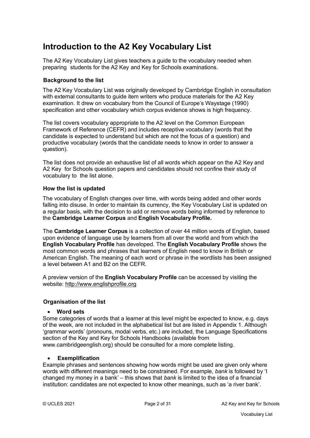# **Introduction to the A2 Key Vocabulary List**

The A2 Key Vocabulary List gives teachers a guide to the vocabulary needed when preparing students for the A2 Key and Key for Schools examinations.

#### **Background to the list**

The A2 Key Vocabulary List was originally developed by Cambridge English in consultation with external consultants to guide item writers who produce materials for the A2 Key examination. It drew on vocabulary from the Council of Europe's Waystage (1990) specification and other vocabulary which corpus evidence shows is high frequency.

The list covers vocabulary appropriate to the A2 level on the Common European Framework of Reference (CEFR) and includes receptive vocabulary (words that the candidate is expected to understand but which are not the focus of a question) and productive vocabulary (words that the candidate needs to know in order to answer a question).

The list does not provide an exhaustive list of all words which appear on the A2 Key and A2 Key for Schools question papers and candidates should not confine their study of vocabulary to the list alone.

#### **How the list is updated**

The vocabulary of English changes over time, with words being added and other words falling into disuse. In order to maintain its currency, the Key Vocabulary List is updated on a regular basis, with the decision to add or remove words being informed by reference to the **Cambridge Learner Corpus** and **English Vocabulary Profile.**

The **Cambridge Learner Corpus** is a collection of over 44 million words of English, based upon evidence of language use by learners from all over the world and from which the **English Vocabulary Profile** has developed. The **English Vocabulary Profile** shows the most common words and phrases that learners of English need to know in British or American English. The meaning of each word or phrase in the wordlists has been assigned a level between A1 and B2 on the CEFR.

A preview version of the **English Vocabulary Profile** can be accessed by visiting the website: [http://www.englishprofile.org](http://www.englishprofile.org/)

#### **Organisation of the list**

#### • **Word sets**

Some categories of words that a learner at this level might be expected to know, e.g. days of the week, are not included in the alphabetical list but are listed in Appendix 1. Although 'grammar words' (pronouns, modal verbs, etc.) are included, the Language Specifications section of the Key and Key for Schools Handbooks (available from www.cambridgeenglish.org) should be consulted for a more complete listing.

#### • **Exemplification**

Example phrases and sentences showing how words might be used are given only where words with different meanings need to be constrained. For example, *bank* is followed by 'I changed my money in a bank' – this shows that *bank* is limited to the idea of a financial institution: candidates are not expected to know other meanings, such as 'a river bank'.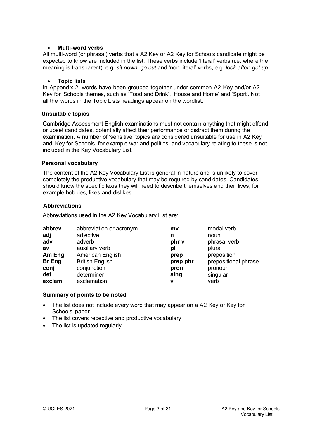#### • **Multi-word verbs**

All multi-word (or phrasal) verbs that a A2 Key or A2 Key for Schools candidate might be expected to know are included in the list. These verbs include 'literal' verbs (i.e. where the meaning is transparent), e.g. *sit down*, *go out* and 'non-literal' verbs, e.g. *look after*, *get up*.

#### • **Topic lists**

In Appendix 2, words have been grouped together under common A2 Key and/or A2 Key for Schools themes, such as 'Food and Drink', 'House and Home' and 'Sport'. Not all the words in the Topic Lists headings appear on the wordlist.

#### **Unsuitable topics**

Cambridge Assessment English examinations must not contain anything that might offend or upset candidates, potentially affect their performance or distract them during the examination. A number of 'sensitive' topics are considered unsuitable for use in A2 Key and Key for Schools, for example war and politics, and vocabulary relating to these is not included in the Key Vocabulary List.

#### **Personal vocabulary**

The content of the A2 Key Vocabulary List is general in nature and is unlikely to cover completely the productive vocabulary that may be required by candidates. Candidates should know the specific lexis they will need to describe themselves and their lives, for example hobbies, likes and dislikes.

#### **Abbreviations**

Abbreviations used in the A2 Key Vocabulary List are:

| abbrev        | abbreviation or acronym | mv       | modal verb           |
|---------------|-------------------------|----------|----------------------|
| adj           | adjective               | n        | noun                 |
| adv           | adverb                  | phr v    | phrasal verb         |
| av            | auxiliary verb          | рI       | plural               |
| Am Eng        | American English        | prep     | preposition          |
| <b>Br</b> Eng | <b>British English</b>  | prep phr | prepositional phrase |
| conj          | conjunction             | pron     | pronoun              |
| det           | determiner              | sing     | singular             |
| exclam        | exclamation             | v        | verb                 |

#### **Summary of points to be noted**

- The list does not include every word that may appear on a A2 Key or Key for Schools paper.
- The list covers receptive and productive vocabulary.
- The list is updated regularly.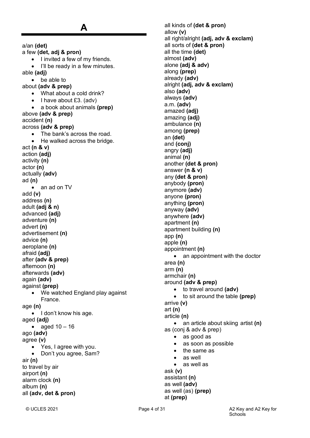a/an **(det)** a few **(det, adj & pron)** • I invited a few of my friends. • I'll be ready in a few minutes. able **(adj)** • be able to about **(adv & prep)** • What about a cold drink? • I have about £3. (adv) • a book about animals **(prep)** above **(adv & prep)** accident **(n)** across **(adv & prep)** • The bank's across the road. • He walked across the bridge. act **(n & v)** action **(adj)** activity **(n)** actor **(n)** actually **(adv)** ad **(n)** • an ad on TV add **(v)** address **(n)** adult **(adj & n)** advanced **(adj)** adventure **(n)** advert **(n)** advertisement **(n)** advice **(n)** aeroplane **(n)** afraid **(adj)** after **(adv & prep)** afternoon **(n)** afterwards **(adv)** again **(adv)** against **(prep)** • We watched England play against France. age **(n)** • I don't know his age. aged **(adj)** • aged  $10 - 16$ ago **(adv)** agree **(v)** • Yes, I agree with you. • Don't you agree, Sam? air **(n)** to travel by air airport **(n)** alarm clock **(n)** album **(n)** all **(adv, det & pron)**

all kinds of **(det & pron)** allow **(v)** all right/alright **(adj, adv & exclam)** all sorts of **(det & pron)** all the time **(det)** almost **(adv)** alone **(adj & adv)** along **(prep)** already **(adv)** alright **(adj, adv & exclam)** also **(adv)** always **(adv)** a.m. **(adv)** amazed **(adj)** amazing **(adj)** ambulance **(n)** among **(prep)** an **(det)** and **(conj)** angry **(adj)** animal **(n)** another **(det & pron)** answer **(n & v)** any **(det & pron)** anybody **(pron)** anymore **(adv)** anyone **(pron)** anything **(pron)** anyway **(adv)** anywhere **(adv)** apartment **(n)** apartment building **(n)** app **(n)** apple **(n)** appointment **(n)** • an appointment with the doctor area **(n)** arm **(n)** armchair **(n)** around **(adv & prep)** • to travel around **(adv)** • to sit around the table **(prep)** arrive **(v)** art **(n)**  article **(n)** • an article about skiing artist **(n)** as (conj & adv & prep) • as good as • as soon as possible the same as as well as well as ask **(v)** assistant **(n)** as well **(adv)** as well (as) **(prep)** at **(prep)**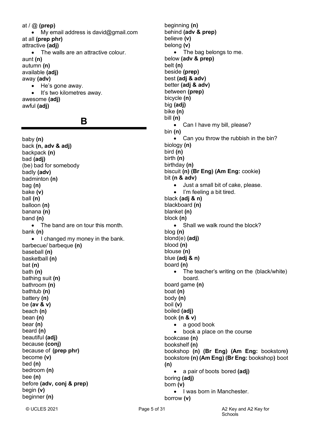at / @ **(prep)** • My email address is [david@gmail.com](mailto:david@gmail.com) at all **(prep phr)** attractive **(adj)** The walls are an attractive colour. aunt **(n)** autumn **(n)** available **(adj)** away **(adv)** • He's gone away. • It's two kilometres away. awesome **(adj)** awful **(adj)**

**B**

baby **(n)** back **(n, adv & adj)** backpack **(n)** bad **(adj)** (be) bad for somebody badly **(adv)** badminton **(n)** bag **(n)** bake **(v)** ball **(n)** balloon **(n)** banana **(n)** band **(n)** • The band are on tour this month. bank **(n)** • I changed my money in the bank. barbecue/ barbeque **(n)** baseball **(n)** basketball **(n)** bat **(n)** bath **(n)** bathing suit **(n)** bathroom **(n)** bathtub **(n)** battery **(n)** be **(av & v)** beach **(n)** bean **(n)** bear **(n)** beard **(n)** beautiful **(adj)** because **(conj)** because of **(prep phr)** become **(v)** bed **(n)** bedroom **(n)** bee **(n)** before **(adv, conj & prep)** begin **(v)** beginner **(n)**

© UCLES 2021 **Page 5 of 31** Page 5 of 31 A2 Key and A2 Key for behind **(adv & prep)** believe **(v)** belong **(v)** • The bag belongs to me. below **(adv & prep)** belt **(n)** beside **(prep)** best **(adj & adv)** better **(adj & adv)** between **(prep)** bicycle **(n)** big **(adj)** bike **(n)**  bill **(n)** • Can I have my bill, please? bin **(n)** • Can you throw the rubbish in the bin? biology **(n)** bird **(n)** birth **(n)** birthday **(n)** biscuit **(n) (Br Eng) (Am Eng:** cookie**)** bit **(n & adv)** • Just a small bit of cake, please. • I'm feeling a bit tired. black **(adj & n)** blackboard **(n)** blanket **(n)** block **(n)** • Shall we walk round the block? blog **(n)** blond(e) **(adj)** blood **(n)** blouse **(n)** blue **(adj & n)** board **(n)** • The teacher's writing on the (black/white) board. board game **(n)** boat **(n)** body **(n)**  boil **(v)** boiled **(adj)** book **(n & v)** • a good book • book a place on the course bookcase **(n)** bookshelf **(n)** bookshop **(n) (Br Eng) (Am Eng:** bookstore**)** bookstore **(n) (Am Eng) (Br Eng:** bookshop**)** boot **(n)** • a pair of boots bored **(adj)** boring **(adj)** born **(v)** • I was born in Manchester borrow **(v)**

beginning **(n)**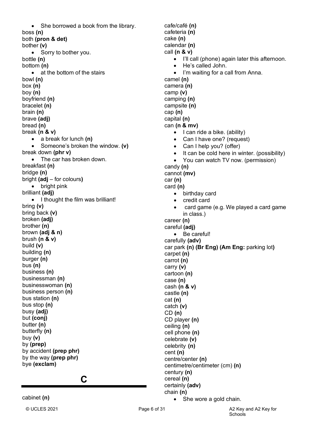• She borrowed a book from the library. boss **(n)** both **(pron & det)** bother **(v)** • Sorry to bother you. bottle **(n)** bottom **(n)** • at the bottom of the stairs bowl **(n)** box **(n)** boy **(n)** boyfriend **(n)**  bracelet **(n)** brain **(n)** brave **(adj)** bread **(n)**  break **(n & v)** • a break for lunch **(n)** • Someone's broken the window. **(v)** break down **(phr v)** • The car has broken down. breakfast **(n)** bridge **(n)** bright **(adj** – for colours**)** • bright pink brilliant **(adj)** • I thought the film was brilliant! bring **(v)** bring back **(v)** broken **(adj)** brother **(n)** brown **(adj & n)** brush **(n & v)** build **(v)** building **(n)** burger **(n)** bus **(n)** business **(n)** businessman **(n)** businesswoman **(n)**  business person **(n)** bus station **(n)** bus stop **(n)** busy **(adj)** but **(conj)** butter **(n)** butterfly **(n)** buy **(v)** by **(prep)** by accident **(prep phr)** by the way **(prep phr)** bye **(exclam)**

## **C**

cafe/café **(n)** cafeteria **(n)** cake **(n)** calendar **(n)** call **(n & v)** • I'll call (phone) again later this afternoon. He's called John. • I'm waiting for a call from Anna. camel **(n)** camera **(n)** camp **(v)** camping **(n)** campsite **(n)** cap **(n)** capital **(n)** can **(n & mv)** • I can ride a bike. (ability) • Can I have one? (request) • Can I help you? (offer) It can be cold here in winter. (possibility) • You can watch TV now. (permission) candy **(n)** cannot **(mv)** car **(n)** card **(n)** • birthday card • credit card • card game (e.g. We played a card game in class.) career **(n)** careful **(adj)** • Be careful! carefully **(adv)** car park **(n) (Br Eng) (Am Eng:** parking lot**)** carpet **(n)** carrot **(n)** carry **(v)** cartoon **(n)** case **(n)** cash **(n & v)** castle **(n)**  cat **(n)**  catch **(v)** CD **(n)** CD player **(n)** ceiling **(n)** cell phone **(n)** celebrate **(v)** celebrity **(n)** cent **(n)** centre/center **(n)** centimetre/centimeter (cm) **(n)** century **(n)** cereal **(n)**

chain **(n)** • She wore a gold chain.

certainly **(adv)**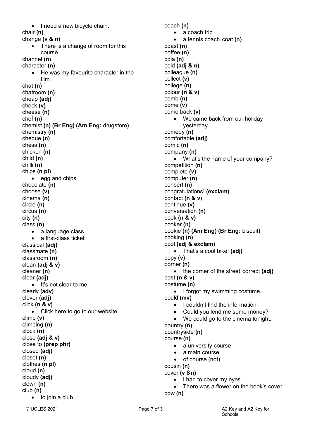• I need a new bicycle chain. chair **(n)** change **(v & n)** • There is a change of room for this course. channel **(n)** character **(n)** • He was my favourite character in the film. chat **(n)** chatroom **(n)** cheap **(adj)** check **(v)** cheese **(n)** chef **(n)** chemist **(n) (Br Eng) (Am Eng:** drugstore**)** chemistry **(n)** cheque **(n)** chess **(n)** chicken **(n)** child **(n)** chilli **(n)** chips **(n pl)** • egg and chips chocolate **(n)** choose **(v)** cinema **(n)** circle **(n)** circus **(n)** city **(n)** class **(n)** • a language class • a first-class ticket classical **(adj)** classmate **(n)** classroom **(n)** clean **(adj & v)** cleaner **(n)** clear **(adj)** • It's not clear to me. clearly **(adv)** clever **(adj)** click **(n & v)** • Click here to go to our website. climb **(v)** climbing **(n)** clock **(n)** close **(adj & v)** close to **(prep phr)** closed **(adj)** closet **(n)** clothes **(n pl)** cloud **(n)** cloudy **(adj)** clown **(n)** club **(n)** to join a club

coach **(n)**

coast **(n)** coffee **(n)** cola **(n)** cold **(adj & n)** colleague **(n)** collect **(v)** college **(n)** colour **(n & v)** comb **(n)**  come **(v)** come back **(v)**

• a coach trip

yesterday.

congratulations! **(exclam)**

comedy **(n)** comfortable **(adj)**

comic **(n)**  company **(n)**

competition **(n)** complete **(v)** computer **(n)** concert **(n)**

contact **(n & v)** continue **(v)**

copy **(v)** corner **(n)**

cousin **(n)**

cow **(n)**

• a tennis coach coat **(n)**

• We came back from our holiday

• What's the name of your company?

## conversation **(n)** cook **(n & v)** cooker **(n)** cookie **(n) (Am Eng) (Br Eng:** biscuit**)** cooking **(n)** cool **(adj & exclam)** • That's a cool bike! **(adj)** • the corner of the street correct **(adj)** cost **(n & v)** costume **(n)** • I forgot my swimming costume. could **(mv)** • I couldn't find the information Could you lend me some money? • We could go to the cinema tonight. country **(n)** countryside **(n)** course **(n)** • a university course a main course • of course (not) cover **(v &n)** • I had to cover my eyes. There was a flower on the book's cover.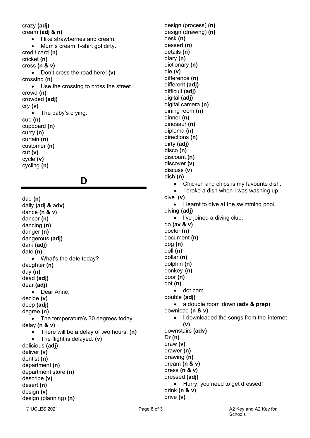crazy **(adj)** cream **(adj & n)** • I like strawberries and cream. • Mum's cream T-shirt got dirty. credit card **(n)** cricket **(n)** cross **(n & v)** • Don't cross the road here! **(v)** crossing **(n)** • Use the crossing to cross the street. crowd **(n)** crowded **(adj)** cry **(v)** • The baby's crying. cup **(n)** cupboard **(n)** curry **(n)** curtain **(n)** customer **(n)** cut **(v)** cycle **(v)** cycling **(n)**

**D**

dad **(n)** daily **(adj & adv)** dance **(n & v)** dancer **(n)** dancing **(n)** danger **(n)** dangerous **(adj)** dark **(adj)** date **(n)** • What's the date today? daughter **(n)** day **(n)** dead **(adj)** dear **(adj)** • Dear Anne, decide **(v)** deep **(adj)** degree **(n)** • The temperature's 30 degrees today. delay **(n & v)** • There will be a delay of two hours. **(n)** • The flight is delayed. **(v)** delicious **(adj)** deliver **(v)** dentist **(n)** department **(n)** department store **(n)** describe **(v)** desert **(n)** design **(v)** design (planning) **(n)**

design (process) **(n)** design (drawing) **(n)** desk **(n)** dessert **(n)** details **(n)** diary **(n)** dictionary **(n)** die **(v)** difference **(n)** different **(adj)** difficult **(adj)** digital **(adj)** digital camera **(n)** dining room **(n)** dinner **(n)** dinosaur **(n)** diploma **(n)**  directions **(n)** dirty **(adj)** disco **(n)** discount **(n)** discover **(v)** discuss **(v)** dish **(n)** • Chicken and chips is my favourite dish. • I broke a dish when I was washing up. dive **(v)** • I learnt to dive at the swimming pool. diving **(adj)** • I've joined a diving club. do **(av & v)** doctor **(n)** document **(n)** dog **(n)** doll **(n)** dollar **(n)** dolphin **(n)** donkey **(n)** door **(n)** dot **(n)** • dot com double **(adj)** • a double room down **(adv & prep)** download **(n & v)** • I downloaded the songs from the internet **(v)**. downstairs **(adv)** Dr **(n)** draw **(v)** drawer **(n)** drawing **(n)** dream **(n & v)** dress **(n & v)** dressed **(adj)** • Hurry, you need to get dressed! drink **(n & v)** drive **(v)**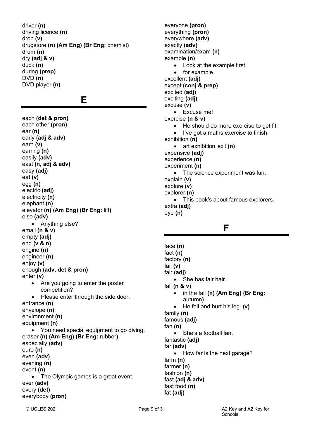driver **(n)** driving licence **(n)** drop **(v)** drugstore **(n) (Am Eng) (Br Eng:** chemist**)** drum **(n)** dry **(adj & v)** duck **(n)** during **(prep)** DVD **(n)** DVD player **(n)**

## **E**

each **(det & pron)** each other **(pron)** ear **(n)** early **(adj & adv)** earn **(v)** earring **(n)** easily **(adv)** east **(n, adj & adv)** easy **(adj)** eat **(v)** egg **(n)** electric **(adj)** electricity **(n)** elephant **(n)** elevator **(n) (Am Eng) (Br Eng:** lift**)** else **(adv)** • Anything else? email **(n & v)** empty **(adj)** end **(v & n)** engine **(n)** engineer **(n)** enjoy **(v)** enough **(adv, det & pron)** enter **(v)** • Are you going to enter the poster competition? • Please enter through the side door. entrance **(n)** envelope **(n)** environment **(n)** equipment **(n)** • You need special equipment to go diving. eraser **(n) (Am Eng) (Br Eng:** rubber**)** especially **(adv)** euro **(n)** even **(adv)** evening **(n)** event **(n)** • The Olympic games is a great event. ever **(adv)** every **(det)** everybody **(pron)**

everyone **(pron)** everything **(pron)** everywhere **(adv)** exactly **(adv)** examination/exam **(n)** example **(n)** • Look at the example first. • for example excellent **(adj)** except **(conj & prep)** excited **(adj)** exciting **(adj)** excuse **(v)** • Excuse me! exercise **(n & v)** • He should do more exercise to get fit. • I've got a maths exercise to finish. exhibition **(n)** • art exhibition exit **(n)** expensive **(adj)** experience **(n)** experiment **(n)** • The science experiment was fun. explain **(v)** explore **(v)** explorer **(n)** This book's about famous explorers. extra **(adj)** eye **(n)**

## **F**

- face **(n)**
- fact **(n)**
- factory **(n)**
- fail **(v)**
- fair **(adj)**
	- She has fair hair.
- fall **(n & v)**
	- in the fall **(n) (Am Eng) (Br Eng:** autumn**)**
	- He fell and hurt his leg. **(v)**

family **(n)**

famous **(adj)**

- fan **(n)**
- She's a football fan.
- fantastic **(adj)**
- far **(adv)**
- How far is the next garage? farm **(n)**
- farmer **(n)** fashion **(n)** fast **(adj & adv)**
- fast food **(n)** fat **(adj)**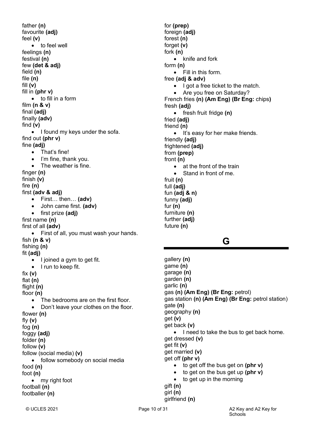father **(n)** favourite **(adj)** feel **(v)** • to feel well feelings **(n)** festival **(n)** few **(det & adj)** field **(n)** file **(n)** fill **(v)** fill in **(phr v)** • to fill in a form film **(n & v)** final **(adj)** finally **(adv)** find **(v)** • I found my keys under the sofa. find out **(phr v)** fine **(adj)** • That's fine! • I'm fine, thank you. • The weather is fine. finger **(n)** finish **(v)** fire **(n)** first **(adv & adj)** • First… then… **(adv)** • John came first. **(adv)** • first prize **(adj)** first name **(n)** first of all **(adv)** • First of all, you must wash your hands. fish **(n & v)** fishing **(n)** fit **(adj)** • I joined a gym to get fit. • I run to keep fit. fix **(v)** flat **(n)** flight **(n)** floor **(n)** • The bedrooms are on the first floor. • Don't leave your clothes on the floor. flower **(n)** fly **(v)** fog **(n)** foggy **(adj)** folder **(n)** follow **(v)** follow (social media) **(v)** • follow somebody on social media food **(n)** foot **(n)** • my right foot football **(n)** footballer **(n)**

for **(prep)** foreign (adi) forest **(n)** forget **(v)** fork **(n)** • knife and fork form **(n)** • Fill in this form. free **(adj & adv)** • I got a free ticket to the match. • Are you free on Saturday? French fries **(n) (Am Eng) (Br Eng:** chips**)** fresh **(adj)** • fresh fruit fridge **(n)** fried **(adj)** friend **(n)** • It's easy for her make friends. friendly **(adj)** frightened **(adj)** from **(prep)** front **(n)** • at the front of the train • Stand in front of me. fruit **(n)** full **(adj)** fun **(adj & n)** funny **(adj)** fur **(n)** furniture **(n)** further **(adj)**

## **G**

gallery **(n)** game **(n)** garage **(n)** garden **(n)** garlic **(n)** gas **(n) (Am Eng) (Br Eng:** petrol) gas station **(n) (Am Eng) (Br Eng:** petrol station) gate **(n)** geography **(n)** get **(v)** get back **(v)** • I need to take the bus to get back home. get dressed **(v)** get fit **(v)** get married **(v)** get off **(phr v)** • to get off the bus get on **(phr v)** • to get on the bus get up **(phr v)** • to get up in the morning gift **(n)** girl **(n)**

girlfriend **(n)**

future **(n)**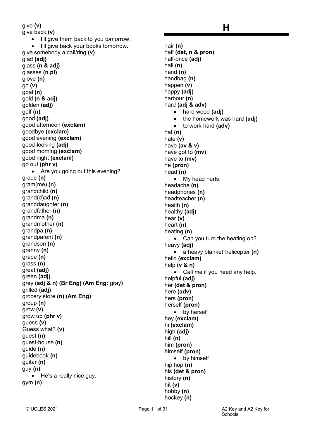give **(v)** give back **(v)** • I'll give them back to you tomorrow. I'll give back your books tomorrow. give somebody a call/ring **(v)** glad **(adj)** glass **(n & adj)** glasses **(n pl)** glove **(n)** go **(v)** goal **(n)** gold **(n & adj)** golden **(adj)** golf **(n)** good **(adj)** good afternoon **(exclam)** goodbye **(exclam)** good evening **(exclam)** good-looking **(adj)** good morning **(exclam)** good night **(exclam)** go out **(phr v)** • Are you going out this evening? grade **(n)** gram(me) **(n)** grandchild **(n)** grand(d)ad **(n)** granddaughter **(n)** grandfather **(n)** grandma **(n)** grandmother **(n)** grandpa **(n)** grandparent **(n)** grandson **(n)** granny **(n)** grape **(n)** grass **(n)** great **(adj)** green **(adj)** grey **(adj & n) (Br Eng) (Am Eng:** gray**)** grilled **(adj)** grocery store **(n) (Am Eng)** group **(n)** grow **(v)** grow up **(phr v)** guess **(v)** Guess what? **(v)** guest **(n)** guest-house **(n)** guide **(n)** guidebook **(n)** guitar **(n)** guy **(n)** • He's a really nice guy. gym **(n)**

hair **(n)** half **(det, n & pron)** half-price **(adj)** hall **(n)** hand **(n)** handbag **(n)** happen **(v)** happy **(adj)** harbour **(n)** hard **(adj & adv)** • hard wood **(adj)** • the homework was hard **(adj)** • to work hard **(adv)** hat **(n)** hate **(v)** have **(av & v)** have got to **(mv)** have to **(mv)** he **(pron)** head **(n)** • My head hurts. headache **(n)** headphones **(n)** headteacher **(n)** health **(n)** healthy **(adj)** hear **(v)** heart **(n)** heating **(n)** • Can you turn the heating on? heavy **(adj)** • a heavy blanket helicopter **(n)** hello **(exclam)** help **(v & n)** • Call me if you need any help. helpful **(adj)** her **(det & pron)** here **(adv)** hers **(pron)** herself **(pron)** • by herself hey **(exclam)** hi **(exclam)** high **(adj)** hill **(n)** him **(pron)** himself **(pron)** • by himself hip hop **(n)** his **(det & pron)** history **(n)** hit **(v)** hobby **(n)** hockey **(n)**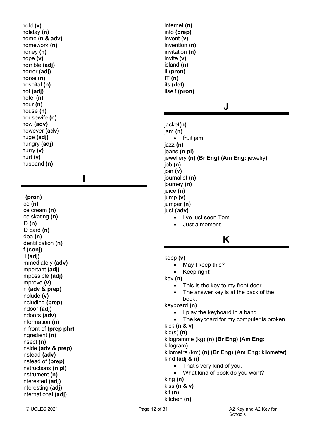hold **(v)** holiday **(n)** home **(n & adv)** homework **(n)** honey **(n)** hope **(v)** horrible **(adj)** horror **(adj)** horse **(n)** hospital **(n)** hot **(adj)** hotel **(n)** hour **(n)** house **(n)** housewife **(n)** how **(adv)** however **(adv)** huge **(adj)** hungry **(adj)** hurry **(v)** hurt **(v)** husband **(n)**

**I**

I **(pron)** ice **(n)** ice cream **(n)** ice skating **(n)** ID **(n)** ID card **(n)** idea **(n)** identification **(n)** if **(conj)** ill **(adj)** immediately **(adv)** important **(adj)** impossible **(adj)** improve **(v)** in **(adv & prep)** include **(v)** including **(prep)** indoor **(adj)** indoors **(adv)** information **(n)** in front of **(prep phr)** ingredient **(n)** insect **(n)** inside **(adv & prep)** instead **(adv)** instead of **(prep)** instructions **(n pl)** instrument **(n)** interested **(adj)** interesting **(adj)** international **(adj)**

internet **(n)** into **(prep)** invent **(v)** invention **(n)** invitation **(n)** invite **(v)** island **(n)** it **(pron)** IT **(n)** its **(det)** itself **(pron)**

## **J**

jacket**(n)** jam **(n)** • fruit jam jazz **(n)** jeans **(n pl)** jewellery **(n) (Br Eng) (Am Eng:** jewelry **)** job **(n)** join **(v)** journalist **(n)** journey **(n)** juice **(n)** jump **(v)** jumper **(n)** just **(adv)**

- I've just seen Tom.
	- Just a moment.

# **K**

- keep **(v)**
	- May I keep this?
	- Keep right!

key **(n)**

- This is the key to my front door.
- The answer key is at the back of the book.

keyboard **(n)**

- I play the keyboard in a band.
- The keyboard for my computer is broken.

kick **(n & v)**

kid(s) **(n)**

kilogramme (kg) **(n) (Br Eng) (Am Eng:**

kilogram **)** kilometre (km) **(n) (Br Eng) (Am Eng:** kilometer **)** kind **(adj & n)**

- That's very kind of you.
- What kind of book do you want?

king **(n)** kiss **(n & v)** kit **(n)** kitchen **(n)**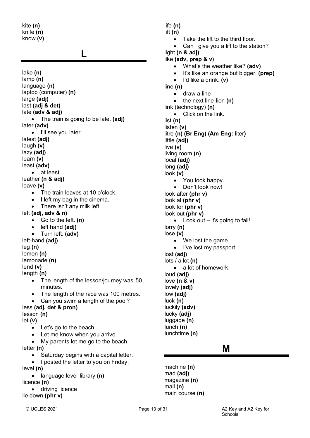kite **(n)** knife **(n)** know **(v)**

## **L**

lake **(n)** lamp **(n)** language **(n)** laptop (computer) **(n)** large **(adj)** last **(adj & det)** late **(adv & adj)** • The train is going to be late. **(adj)** later **(adv)** • I'll see you later. latest **(adj)** laugh **(v)** lazy **(adj)** learn **(v)** least **(adv)** • at least leather **(n & adj)** leave **(v)** • The train leaves at 10 o'clock. • I left my bag in the cinema. • There isn't any milk left. left **(adj, adv & n)** • Go to the left. **(n)** • left hand **(adj)** • Turn left. **(adv)** left-hand **(adj)** leg **(n)** lemon **(n)** lemonade **(n)** lend **(v)** length **(n)** • The length of the lesson/journey was 50 minutes. • The length of the race was 100 metres. • Can you swim a length of the pool? less **(adj, det & pron)** lesson **(n)** let **(v)** • Let's go to the beach. • Let me know when you arrive. My parents let me go to the beach. letter **(n)** • Saturday begins with a capital letter. • I posted the letter to you on Friday. level **(n)**

• language level library **(n)**

licence **(n)**

• driving licence lie down **(phr v)**

life **(n)** lift **(n)**

line **(n)**

list **(n)** listen **(v)**

little **(adj)** live **(v)**

living room **(n)**  local **(adj)** long **(adj)** look **(v)**

look after **(phr v)** look at **(phr v)** look for **(phr v)** look out **(phr v)**

lorry **(n)** lose **(v)**

lost **(adj)** lots / a lot **(n)**

loud **(adj)** love **(n & v)** lovely **(adj)** low **(adj)** luck **(n)** luckily **(adv)** lucky **(adj)** luggage **(n)** lunch **(n)** lunchtime **(n)**

machine **(n)** mad **(adj)** magazine **(n)** mail **(n)**

main course **(n)**

light **(n & adj)** like **(adv, prep & v)**

Take the lift to the third floor • Can I give you a lift to the station?

• What's the weather like? **(adv)**

• I'd like a drink. **(v)**

• Click on the link.

• You look happy. • Don't look now!

 $\bullet$  Look out – it's going to fall!

• We lost the game. • I've lost my passport.

• a lot of homework.

• the next line lion **(n)**

litre **(n) (Br Eng) (Am Eng:** liter**)**

• draw a line

link (technology) **(n)**

• It's like an orange but bigger. **(prep)**

**M**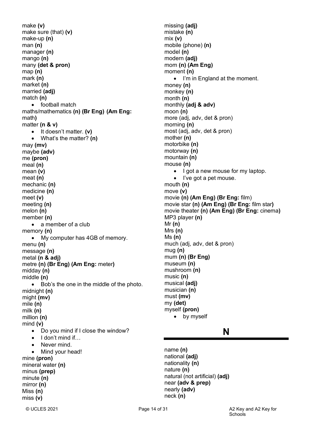make **(v)** make sure (that) **(v)** make-up **(n)** man **(n)**  manager **(n)** mango **(n)** many **(det & pron)** map **(n)**  mark **(n)** market **(n)** married **(adj)** match **(n)** • football match maths/mathematics **(n) (Br Eng) (Am Eng:** math**)** matter **(n & v)** • It doesn't matter. **(v)** • What's the matter? **(n)** may **(mv)** maybe **(adv)** me **(pron)** meal **(n)** mean **(v)** meat **(n)** mechanic **(n)** medicine **(n)** meet **(v)** meeting **(n)** melon **(n)** member **(n)** • a member of a club memory **(n)** • My computer has 4GB of memory. menu **(n)** message **(n)** metal **(n & adj)** metre **(n) (Br Eng) (Am Eng:** meter**)** midday **(n)** middle **(n)** • Bob's the one in the middle of the photo. midnight **(n)** might **(mv)** mile **(n)** milk **(n)** million **(n)** mind **(v)** • Do you mind if I close the window? I don't mind if Never mind. Mind your head! mine **(pron)** mineral water **(n)** minus **(prep)** minute **(n)** mirror **(n)** Miss **(n)** miss **(v)**

missing **(adj)** mistake **(n)** mix **(v)** mobile (phone) **(n)** model **(n)** modern **(adj)** mom **(n) (Am Eng)** moment **(n)** • I'm in England at the moment. money **(n)** monkey **(n)** month **(n)** monthly **(adj & adv)** moon **(n)** more (adj, adv, det & pron) morning **(n)** most (adj, adv, det & pron) mother **(n)** motorbike **(n)** motorway **(n)** mountain **(n)** mouse **(n)** • I got a new mouse for my laptop. • I've got a pet mouse. mouth **(n)** move **(v)** movie **(n) (Am Eng) (Br Eng:** film) movie star **(n) (Am Eng) (Br Eng:** film star**)** movie theater **(n) (Am Eng) (Br Eng:** cinema**)** MP3 player **(n)** Mr **(n)** Mrs **(n)** Ms **(n)** much (adj, adv, det & pron) mug **(n)** mum **(n) (Br Eng)** museum **(n)** mushroom **(n)** music **(n)** musical **(adj)** musician **(n)** must **(mv)** my **(det)**

## **N**

name **(n)** national **(adj)** nationality **(n)** nature **(n)** natural (not artificial) **(adj)** near **(adv & prep)** nearly **(adv)** neck **(n)**

myself **(pron)**

• by myself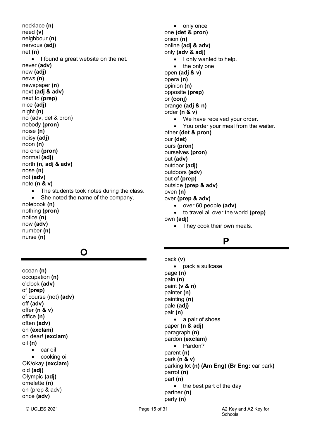necklace **(n)** need **(v)** neighbour **(n)** nervous **(adj)** net **(n)** • I found a great website on the net. never **(adv)** new **(adj)** news **(n)** newspaper **(n)** next **(adj & adv)** next to **(prep)** nice **(adj)** night **(n)** no (adv, det & pron) nobody **(pron)** noise **(n)** noisy **(adj)** noon **(n)** no one **(pron)** normal **(adj)** north **(n, adj & adv)** nose **(n)** not **(adv)** note **(n & v)** The students took notes during the class. She noted the name of the company. notebook **(n)** nothing **(pron)** notice **(n)** now **(adv)** number **(n)** nurse **(n)**

## **O**

occupation **(n)** o'clock **(adv)** of **(prep)** of course (not) **(adv)** off **(adv)** offer **(n & v)** office **(n)** often **(adv)** oh **(exclam)** oh dear! **(exclam)** oil **(n)** car oil cooking oil OK/okay **(exclam)** old **(adj)** Olympic **(adj)** omelette **(n)** on (prep & adv) once **(adv)**

ocean **(n)**

only once one **(det & pron)** onion **(n)** online **(adj & adv)** only **(adv & adj)** • I only wanted to help. the only one open **(adj & v)** opera **(n)** opinion **(n)** opposite **(prep)** or **(conj)** orange **(adj & n)** order **(n & v)** We have received your order. You order your meal from the waiter. other **(det & pron)** our **(det)** ours **(pron)** ourselves **(pron)** out **(adv)** outdoor **(adj)** outdoors **(adv)** out of **(prep)** outside **(prep & adv)** oven **(n)** over **(prep & adv)** • over 60 people **(adv)** • to travel all over the world **(prep)** own **(adj)** • They cook their own meals.

# **P**

pack **(v)** • pack a suitcase page **(n)** pain **(n)** paint **(v & n)** painter **(n)** painting **(n)** pale **(adj)** pair **(n)** • a pair of shoes paper **(n & adj)** paragraph **(n)** pardon **(exclam)** • Pardon? parent **(n)** park **(n & v)** parking lot **(n) (Am Eng) (Br Eng:** car park**)** parrot **(n)** part **(n)** the best part of the day partner **(n)** party **(n)**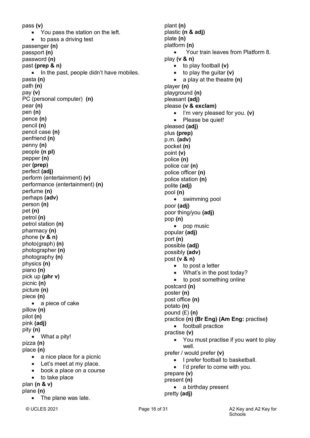pass **(v)** • You pass the station on the left. to pass a driving test passenger **(n)** passport **(n)** password **(n)** past **(prep & n)** • In the past, people didn't have mobiles. pasta **(n)** path **(n)** pay **(v)** PC (personal computer) **(n)** pear **(n)** pen **(n)** pence **(n)** pencil **(n)** pencil case **(n)** penfriend **(n)** penny **(n)** people **(n pl)** pepper **(n)** per **(prep)** perfect **(adj)** perform (entertainment) **(v)** performance (entertainment) **(n)** perfume **(n)** perhaps **(adv)** person **(n)**  pet **(n)** petrol **(n)** petrol station **(n)** pharmacy **(n)** phone **(v & n)** photo(graph) **(n)** photographer **(n)** photography **(n)** physics **(n)** piano **(n)** pick up **(phr v)** picnic **(n)** picture **(n)** piece **(n)** • a piece of cake pillow **(n)** pilot **(n)** pink **(adj)** pity **(n)** • What a pity! pizza **(n)** place **(n)** • a nice place for a picnic • Let's meet at my place. • book a place on a course to take place plan **(n & v)** plane **(n)** The plane was late.

plant **(n)** plastic **(n & adj)** plate **(n)** platform **(n)** • Your train leaves from Platform 8. play **(v & n)** • to play football **(v)** • to play the guitar **(v)** • a play at the theatre **(n)** player **(n)** playground **(n)** pleasant **(adj)** please **(v & exclam)** • I'm very pleased for you. **(v)** • Please be quiet! pleased **(adj)** plus **(prep)** p.m. **(adv)** pocket **(n)** point **(v)** police **(n)** police car **(n)** police officer **(n)** police station **(n)** polite **(adj)** pool **(n)** • swimming pool poor **(adj)** poor thing/you **(adj)** pop **(n)** • pop music popular **(adj)** port **(n)** possible **(adj)** possibly **(adv)** post **(v & n)** • to post a letter • What's in the post today? • to post something online postcard **(n)** poster **(n)** post office **(n)** potato **(n)** pound (£) **(n)** practice **(n) (Br Eng) (Am Eng:** practise**)** • football practice practise **(v)** • You must practise if you want to play well. prefer / would prefer **(v)** • I prefer football to basketball. • I'd prefer to come with you. prepare **(v)** present **(n)** • a birthday present pretty **(adj)**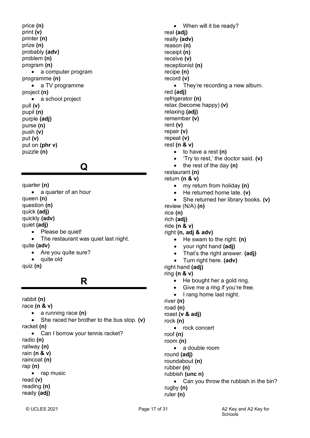price **(n)** print **(v)** printer **(n)** prize **(n)** probably **(adv)** problem **(n)** program **(n)** • a computer program programme **(n)** • a TV programme project **(n)** • a school project pull **(v)** pupil **(n)** purple **(adj)** purse **(n)** push **(v)** put **(v)** put on **(phr v)** puzzle **(n)**

# **Q**

quarter **(n)** • a quarter of an hour queen **(n)** question **(n)** quick **(adj)** quickly **(adv)** quiet **(adj)** • Please be quiet! The restaurant was quiet last night.

quite **(adv)**

- Are you quite sure?
- quite old

quiz **(n)**

**R**

rabbit **(n)**

- race **(n & v)**
	- a running race **(n)**
- She raced her brother to the bus stop. **(v)** racket **(n)**

• Can I borrow your tennis racket? radio **(n)** railway **(n)** rain **(n & v)** raincoat **(n)** rap **(n)** • rap music read **(v)** reading **(n)** ready **(adj)**

real **(adj)** really **(adv)** reason **(n)** receipt **(n)** receive **(v)** receptionist **(n)** recipe **(n)** record **(v)** • They're recording a new album. red **(adj)** refrigerator **(n)** relax (become happy) **(v)** relaxing **(adj)** remember **(v)** rent **(v)** repair **(v)** repeat **(v)** rest **(n & v)** • to have a rest **(n)** • 'Try to rest,' the doctor said. **(v)** • the rest of the day **(n)** restaurant **(n)** return **(n & v)** • my return from holiday **(n)** • He returned home late. **(v)** • She returned her library books. **(v)** review (N/A) **(n)** rice **(n)** rich **(adj)** ride **(n & v)** right **(n, adj & adv)** • He swam to the right. **(n)** • your right hand **(adj)** • That's the right answer. **(adj)** • Turn right here. **(adv)** right hand **(adj)** ring **(n & v)** • He bought her a gold ring. Give me a ring if you're free. • I rang home last night. river **(n)** road **(n)** roast **(v & adj)** rock **(n)** • rock concert roof **(n)** room **(n)** • a double room round **(adj)** roundabout **(n)** rubber **(n)** rubbish **(unc n)** • Can you throw the rubbish in the bin? rugby **(n)** ruler **(n)**

• When will it be ready?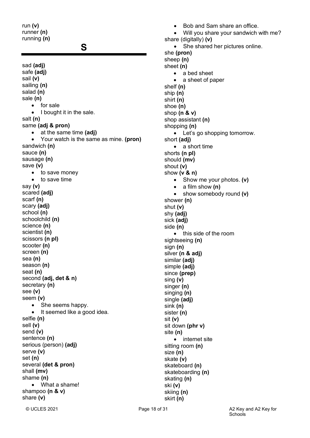run **(v)** runner **(n)** running **(n)**

## **S**

© UCLES 2021 **Page 18 of 31** A2 Key and A2 Key for sad **(adj)** safe **(adj)** sail **(v)** sailing **(n)** salad **(n)** sale **(n)** • for sale I bought it in the sale. salt **(n)** same **(adj & pron)** • at the same time **(adj)** • Your watch is the same as mine. **(pron)** sandwich **(n)** sauce **(n)** sausage **(n)** save **(v)** • to save money • to save time say **(v)** scared **(adj)** scarf **(n)** scary **(adj)** school **(n)** schoolchild **(n)** science **(n)** scientist **(n)** scissors **(n pl)** scooter **(n)** screen **(n)** sea **(n)** season **(n)** seat **(n)** second **(adj, det & n)** secretary **(n)** see **(v)** seem **(v)** • She seems happy. • It seemed like a good idea. selfie **(n)** sell **(v)** send **(v)** sentence **(n)** serious (person) **(adj)** serve **(v)** set **(n)** several **(det & pron)** shall **(mv)** shame **(n)** • What a shame! shampoo **(n & v)** share **(v)**

- Bob and Sam share an office.
- Will you share your sandwich with me?

share (digitally) **(v)**

She shared her pictures online.

she **(pron)**

sheep **(n)**

- sheet **(n)**
	- a bed sheet
	- a sheet of paper
- shelf **(n)**
- ship **(n)**  shirt **(n)**
- shoe **(n)**
- 
- shop **(n & v)** shop assistant **(n)**
- shopping **(n)**
	- Let's go shopping tomorrow.
- short **(adj)** • a short time
- shorts **(n pl)**
- should **(mv)**
- shout **(v)**
- show **(v & n)**
	- Show me your photos. **(v)**
	- a film show **(n)**

• show somebody round **(v)** shower **(n)** shut **(v)** shy **(adj)** sick **(adj)** side **(n)** • this side of the room sightseeing **(n)** sign **(n)** silver **(n & adj)** similar **(adj)** simple **(adj)** since **(prep)** sing **(v)** singer **(n)** singing **(n)** single **(adj)** sink **(n)** sister **(n)** sit **(v)** sit down **(phr v)** site **(n)** • internet site sitting room **(n)** size **(n)** skate **(v)** skateboard **(n)** skateboarding **(n)** skating **(n)** ski **(v)** skiing **(n)**

skirt **(n)**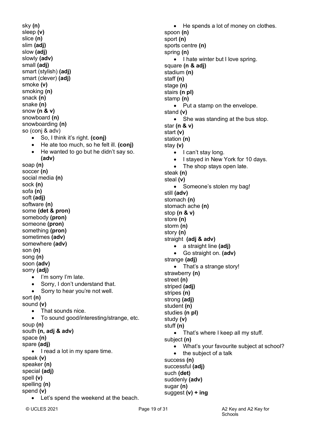sky **(n)** sleep **(v)** slice **(n)** slim **(adj)** slow **(adj)** slowly **(adv)** small **(adj)** smart (stylish) **(adj)** smart (clever) **(adj)** smoke **(v)** smoking **(n)** snack **(n)**  snake **(n)** snow **(n & v)** snowboard **(n)** snowboarding **(n)** so (conj & adv) • So, I think it's right. **(conj)** • He ate too much, so he felt ill. **(conj)** • He wanted to go but he didn't say so. **(adv)** soap **(n)** soccer **(n)** social media **(n)** sock **(n)** sofa **(n)**  soft **(adj)** software **(n)** some **(det & pron)** somebody **(pron)** someone **(pron)** something **(pron)** sometimes **(adv)** somewhere **(adv)** son **(n)** song **(n)** soon **(adv)** sorry **(adj)** • I'm sorry I'm late. • Sorry, I don't understand that. Sorry to hear you're not well. sort **(n)** sound **(v)** • That sounds nice. • To sound good/interesting/strange, etc. soup **(n)** south **(n, adj & adv)** space **(n)** spare **(adj)** • I read a lot in my spare time. speak **(v)** speaker **(n)** special **(adj)** spell **(v)** spelling **(n)** spend **(v)** Let's spend the weekend at the beach. • He spends a lot of money on clothes.

• I hate winter but I love spring.

• Put a stamp on the envelope.

• She was standing at the bus stop.

I stayed in New York for 10 days.

spoon **(n)** sport **(n)**

spring **(n)**

stand **(v)**

steak **(n)** steal **(v)**

still **(adv)** stomach **(n)** stomach ache **(n)** stop **(n & v)** store **(n)** storm **(n)** story **(n)**

straight **(adj & adv)**

strange **(adj)**

strawberry **(n)** street **(n)** striped **(adj)** stripes **(n)** strong **(adj)** student **(n)** studies **(n pl)** study **(v)** stuff **(n)**

subject **(n)**

success **(n)** successful **(adj)** such **(det)** suddenly **(adv)** sugar **(n)** 

suggest **(v) + ing**

• a straight line **(adj)** • Go straight on. **(adv)**

• That's a strange story!

• That's where I keep all my stuff.

• the subject of a talk

• What's your favourite subject at school?

star **(n & v)** start **(v)** station **(n)** stay **(v)**

• I can't stay long.

• The shop stays open late.

• Someone's stolen my bag!

sports centre **(n)**

square **(n & adj)** stadium **(n)** staff **(n)** stage **(n)** stairs **(n pl)** stamp **(n)**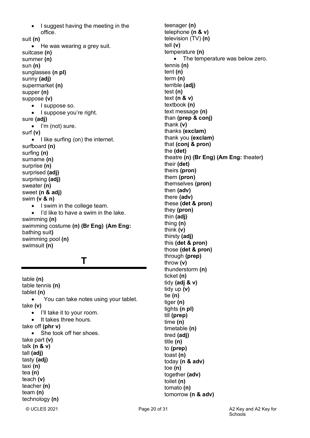• I suggest having the meeting in the office. suit **(n)** • He was wearing a grey suit. suitcase **(n)** summer **(n)** sun **(n)** sunglasses **(n pl)** sunny **(adj)** supermarket **(n)** supper **(n)** suppose **(v)** • I suppose so. • I suppose you're right. sure **(adj)** • I'm (not) sure. surf **(v)** • I like surfing (on) the internet. surfboard **(n)** surfing **(n)** surname **(n)** surprise **(n)** surprised **(adj)** surprising **(adj)** sweater **(n)** sweet **(n & adj)** swim **(v & n)** • I swim in the college team. • I'd like to have a swim in the lake. swimming **(n)** swimming costume **(n) (Br Eng) (Am Eng:** bathing suit**)** swimming pool **(n)** swimsuit **(n)**

# **T**

table **(n)** table tennis **(n)** tablet **(n)** • You can take notes using your tablet. take **(v)** • I'll take it to your room. • It takes three hours. take off **(phr v)** • She took off her shoes. take part **(v)** talk **(n & v)** tall **(adj)** tasty **(adj)** taxi **(n)** tea **(n)** teach **(v)** teacher **(n)** team **(n)** technology **(n)**

teenager **(n)** telephone **(n & v)** television (TV) **(n)** tell **(v)** temperature **(n)** • The temperature was below zero. tennis **(n)** tent **(n)** term **(n)** terrible **(adj)** test **(n)** text **(n & v)** textbook **(n)** text message **(n)** than **(prep & conj)** thank **(v)** thanks **(exclam)** thank you **(exclam)** that **(conj & pron)** the **(det)** theatre **(n) (Br Eng) (Am Eng:** theater**)** their **(det)** theirs **(pron)** them **(pron)** themselves **(pron)** then **(adv)** there **(adv)** these **(det & pron)** they **(pron)** thin **(adj)** thing **(n)** think **(v)** thirsty **(adj)** this **(det & pron)** those **(det & pron)** through **(prep)** throw **(v)** thunderstorm **(n)** ticket **(n)** tidy **(adj & v)** tidy up **(v)** tie **(n)** tiger **(n)** tights **(n pl)** till **(prep)** time **(n)** timetable **(n)** tired **(adj)** title **(n)** to **(prep)** toast **(n)** today **(n & adv)** toe **(n)** together **(adv)** toilet **(n)** tomato **(n)**

tomorrow **(n & adv)**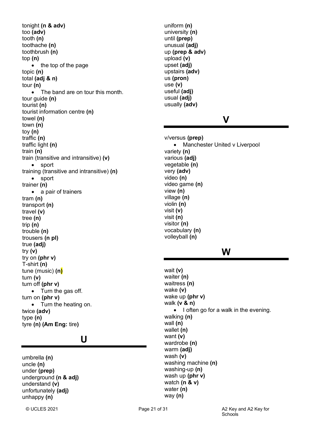tonight **(n & adv)** too **(adv)** tooth **(n)** toothache **(n)** toothbrush **(n)** top **(n)** • the top of the page topic **(n)** total **(adj & n)** tour **(n)** • The band are on tour this month. tour guide **(n)** tourist **(n)** tourist information centre **(n)** towel **(n)** town **(n)** toy **(n)**  traffic **(n)** traffic light **(n)** train **(n)** train (transitive and intransitive) **(v)** • sport training (transitive and intransitive) **(n)** • sport trainer **(n)** • a pair of trainers tram **(n)** transport **(n)** travel **(v)** tree **(n)** trip **(n)** trouble **(n)** trousers **(n pl)** true **(adj)** try **(v)** try on **(phr v)** T-shirt **(n)** tune (music) **(n)** turn **(v)** turn off **(phr v)** • Turn the gas off. turn on **(phr v)** • Turn the heating on. twice **(adv)** type **(n)** tyre **(n) (Am Eng:** tire**)**

# **U**

umbrella **(n)** uncle **(n)** under **(prep)** underground **(n & adj)** understand **(v)** unfortunately **(adj)** unhappy **(n)**

uniform **(n)** university **(n)** until **(prep)** unusual **(adj)** up **(prep & adv)** upload **(v)** upset **(adj)** upstairs **(adv)** us **(pron)** use **(v)** useful **(adj)** usual **(adj)** usually **(adv)**

## **V**

v/versus **(prep)** • Manchester United v Liverpool variety **(n)** various **(adj)** vegetable **(n)** very **(adv)** video **(n)** video game **(n)** view **(n)** village **(n)** violin **(n)** visit **(v)** visit **(n)** visitor **(n)** vocabulary **(n)** volleyball **(n)**

## **W**

wait **(v)** waiter **(n)** waitress **(n)** wake **(v)** wake up **(phr v)** walk **(v & n)** • I often go for a walk in the evening. walking **(n)** wall **(n)** wallet **(n)** want **(v)** wardrobe **(n)** warm **(adj)** wash **(v)** washing machine **(n)** washing-up **(n)** wash up **(phr v)** watch **(n & v)** water **(n)** way **(n)**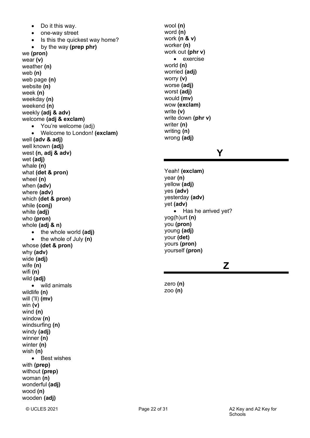• Do it this way.

- one-way street
- Is this the quickest way home?
- by the way **(prep phr)**

we **(pron)** wear **(v)** weather **(n)** web **(n)** web page **(n)** website **(n)** week **(n)** weekday **(n)** weekend **(n)** weekly **(adj & adv)** welcome **(adj & exclam)** • You're welcome (adj) • Welcome to London! **(exclam)** well **(adv & adj)** well known **(adj)** west **(n, adj & adv)** wet **(adj)** whale **(n)** what **(det & pron)** wheel **(n)** when **(adv)** where **(adv)** which **(det & pron)** while **(conj)** white **(adj)** who **(pron)** whole **(adj & n)** • the whole world **(adj)** • the whole of July **(n)** whose **(det & pron)** why **(adv)** wide **(adj)** wife **(n)**  wifi **(n)** wild **(adj)** • wild animals wildlife **(n)** will ('ll) **(mv)** win **(v)** wind **(n)** window **(n)** windsurfing **(n)** windy **(adj)** winner **(n)** winter **(n)** wish **(n)** • Best wishes with **(prep)** without **(prep)** woman **(n)** wonderful **(adj)** wood **(n)** wooden **(adj)**

wool **(n)** word **(n)** work **(n & v)** worker **(n)** work out **(phr v)** • exercise world **(n)** worried **(adj)** worry **(v)** worse **(adj)** worst **(adj)** would **(mv)** wow **(exclam)** write **(v)** write down **(phr v)** writer **(n)** writing **(n)** wrong **(adj)**

## **Y**

Yeah! **(exclam)** year **(n)** yellow **(adj)** yes **(adv)** yesterday **(adv)** yet **(adv)** • Has he arrived yet? yog(h)urt **(n)** you **(pron)** young **(adj)** your **(det)** yours **(pron)** yourself **(pron)**

# **Z**

zero **(n)** zoo **(n)**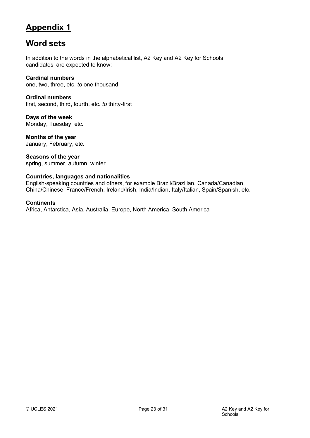# **Appendix 1**

# **Word sets**

In addition to the words in the alphabetical list, A2 Key and A2 Key for Schools candidates are expected to know:

## **Cardinal numbers**

one, two, three, etc. *to* one thousand

**Ordinal numbers** first, second, third, fourth, etc. *to* thirty-first

**Days of the week** Monday, Tuesday, etc.

**Months of the year** January, February, etc.

**Seasons of the year** spring, summer, autumn, winter

#### **Countries, languages and nationalities**

English-speaking countries and others, for example Brazil/Brazilian, Canada/Canadian, China/Chinese, France/French, Ireland/Irish, India/Indian, Italy/Italian, Spain/Spanish, etc.

#### **Continents**

Africa, Antarctica, Asia, Australia, Europe, North America, South America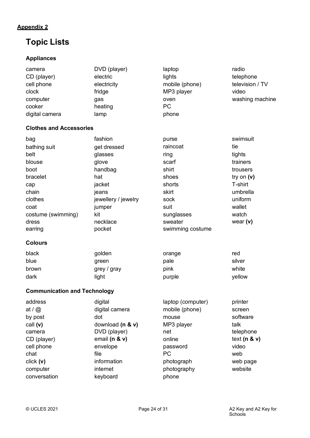# **Appendix 2**

# **Topic Lists**

## **Appliances**

| camera                              | DVD (player)        | laptop            | radio             |
|-------------------------------------|---------------------|-------------------|-------------------|
| CD (player)                         | electric            | lights            | telephone         |
| cell phone                          | electricity         | mobile (phone)    | television / TV   |
| clock                               | fridge              | MP3 player        | video             |
| computer                            | gas                 | oven              | washing machine   |
| cooker                              | heating             | PC                |                   |
| digital camera                      | lamp                | phone             |                   |
| <b>Clothes and Accessories</b>      |                     |                   |                   |
| bag                                 | fashion             | purse             | swimsuit          |
| bathing suit                        | get dressed         | raincoat          | tie               |
| belt                                | glasses             | ring              | tights            |
| blouse                              | glove               | scarf             | trainers          |
| boot                                | handbag             | shirt             | trousers          |
| bracelet                            | hat                 | shoes             | try on $(v)$      |
| cap                                 | jacket              | shorts            | T-shirt           |
| chain                               | jeans               | skirt             | umbrella          |
| clothes                             | jewellery / jewelry | sock              | uniform           |
| coat                                | jumper              | suit              | wallet            |
| costume (swimming)                  | kit                 | sunglasses        | watch             |
| dress                               | necklace            | sweater           | wear $(v)$        |
| earring                             | pocket              | swimming costume  |                   |
| <b>Colours</b>                      |                     |                   |                   |
| black                               | golden              | orange            | red               |
| blue                                | green               | pale              | silver            |
| brown                               | grey / gray         | pink              | white             |
| dark                                | light               | purple            | yellow            |
| <b>Communication and Technology</b> |                     |                   |                   |
| address                             | digital             | laptop (computer) | printer           |
| at $\ell$ $\omega$                  | digital camera      | mobile (phone)    | screen            |
| by post                             | dot                 | mouse             | software          |
| call (v)                            | download (n & v)    | MP3 player        | talk              |
| camera                              | DVD (player)        | net               | telephone         |
| CD (player)                         | email $(n & v)$     | online            | text ( $n \& v$ ) |
| cell phone                          | envelope            | password          | video             |
| chat                                | file                | PC                | web               |
| click (v)                           | information         | photograph        | web page          |
| computer                            | internet            | photography       | website           |

conversation **by** keyboard phone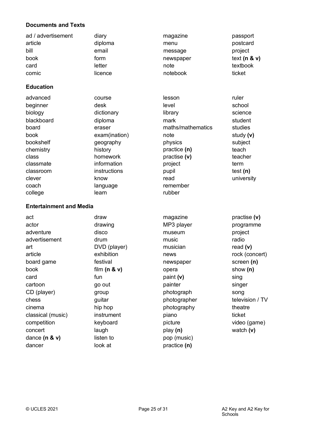#### **Documents and Texts**

| ad / advertisement             | diary          | magazine          | passport           |
|--------------------------------|----------------|-------------------|--------------------|
| article                        | diploma        | menu              | postcard           |
| bill                           | email          | message           | project            |
| book                           | form           | newspaper         | text ( $n$ & $v$ ) |
| card                           | letter         | note              | textbook           |
| comic                          | licence        | notebook          | ticket             |
| <b>Education</b>               |                |                   |                    |
| advanced                       | course         | lesson            | ruler              |
| beginner                       | desk           | level             | school             |
| biology                        | dictionary     | library           | science            |
| blackboard                     | diploma        | mark              | student            |
| board                          | eraser         | maths/mathematics | studies            |
| book                           | exam(ination)  | note              | study (v)          |
| bookshelf                      | geography      | physics           | subject            |
| chemistry                      | history        | practice (n)      | teach              |
| class                          | homework       | practise (v)      | teacher            |
| classmate                      | information    | project           | term               |
| classroom                      | instructions   | pupil             | test $(n)$         |
| clever                         | know           | read              | university         |
| coach                          | language       | remember          |                    |
| college                        | learn          | rubber            |                    |
| <b>Entertainment and Media</b> |                |                   |                    |
| act                            | draw           | magazine          | practise (v)       |
| actor                          | drawing        | MP3 player        | programme          |
| adventure                      | disco          | museum            | project            |
| advertisement                  | drum           | music             | radio              |
| art                            | DVD (player)   | musician          | read (v)           |
| article                        | exhibition     | news              | rock (concert)     |
| board game                     | festival       | newspaper         | screen (n)         |
| book                           | film $(n & v)$ | opera             | show (n)           |
| card                           | fun            | paint (v)         | sing               |
| cartoon                        | go out         | painter           | singer             |
| CD (player)                    | group          | photograph        | song               |
| chess                          | guitar         | photographer      | television / TV    |
| cinema                         | hip hop        | photography       | theatre            |
| classical (music)              | instrument     | piano             | ticket             |
| competition                    | keyboard       | picture           | video (game)       |
| concert                        | laugh          | play (n)          | watch $(v)$        |
| dance $(n & v)$                | listen to      | pop (music)       |                    |
| dancer                         | look at        | practice (n)      |                    |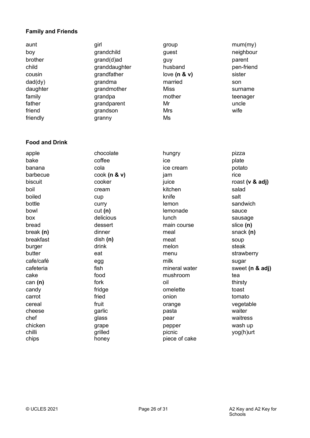## **Family and Friends**

| aunt<br>boy<br>brother<br>child<br>cousin<br>dad(dy)<br>daughter<br>family<br>father<br>friend<br>friendly | girl<br>grandchild<br>grand(d)ad<br>granddaughter<br>grandfather<br>grandma<br>grandmother<br>grandpa<br>grandparent<br>grandson<br>granny | group<br>guest<br>guy<br>husband<br>love $(n & v)$<br>married<br><b>Miss</b><br>mother<br>Mr<br><b>Mrs</b><br>Ms | mum(my)<br>neighbour<br>parent<br>pen-friend<br>sister<br>son<br>surname<br>teenager<br>uncle<br>wife |
|------------------------------------------------------------------------------------------------------------|--------------------------------------------------------------------------------------------------------------------------------------------|------------------------------------------------------------------------------------------------------------------|-------------------------------------------------------------------------------------------------------|
| <b>Food and Drink</b>                                                                                      |                                                                                                                                            |                                                                                                                  |                                                                                                       |
| apple                                                                                                      | chocolate                                                                                                                                  | hungry                                                                                                           | pizza                                                                                                 |
| bake                                                                                                       | coffee                                                                                                                                     | ice                                                                                                              | plate                                                                                                 |
| banana                                                                                                     | cola                                                                                                                                       | ice cream                                                                                                        | potato                                                                                                |
| barbecue                                                                                                   | $\cosh(n \& v)$                                                                                                                            | jam                                                                                                              | rice                                                                                                  |
| biscuit                                                                                                    | cooker                                                                                                                                     | juice                                                                                                            | roast (v & adj)                                                                                       |
| boil                                                                                                       | cream                                                                                                                                      | kitchen                                                                                                          | salad                                                                                                 |
| boiled                                                                                                     | cup                                                                                                                                        | knife                                                                                                            | salt                                                                                                  |
| bottle                                                                                                     | curry                                                                                                                                      | lemon                                                                                                            | sandwich                                                                                              |
| bowl                                                                                                       | cut(n)                                                                                                                                     | lemonade                                                                                                         | sauce                                                                                                 |
| box                                                                                                        | delicious                                                                                                                                  | lunch                                                                                                            | sausage                                                                                               |
| bread                                                                                                      | dessert                                                                                                                                    | main course                                                                                                      | slice $(n)$                                                                                           |
| break $(n)$                                                                                                | dinner                                                                                                                                     | meal                                                                                                             | snack $(n)$                                                                                           |
| breakfast                                                                                                  | $_{\text{dish}}(n)$                                                                                                                        | meat                                                                                                             | soup                                                                                                  |
| burger                                                                                                     | drink                                                                                                                                      | melon                                                                                                            | steak                                                                                                 |
| butter                                                                                                     | eat                                                                                                                                        | menu                                                                                                             | strawberry                                                                                            |
| cafe/café                                                                                                  | egg                                                                                                                                        | milk                                                                                                             | sugar                                                                                                 |
| cafeteria                                                                                                  | fish                                                                                                                                       | mineral water                                                                                                    | sweet (n & adj)                                                                                       |
| cake                                                                                                       | food                                                                                                                                       | mushroom                                                                                                         | tea                                                                                                   |
| can $(n)$                                                                                                  | fork                                                                                                                                       | oil                                                                                                              | thirsty                                                                                               |
| candy                                                                                                      | fridge                                                                                                                                     | omelette                                                                                                         | toast                                                                                                 |
| carrot                                                                                                     | fried                                                                                                                                      | onion                                                                                                            | tomato                                                                                                |
| cereal                                                                                                     | fruit                                                                                                                                      | orange                                                                                                           | vegetable                                                                                             |
| cheese                                                                                                     | garlic                                                                                                                                     | pasta                                                                                                            | waiter                                                                                                |
| chef                                                                                                       | glass                                                                                                                                      | pear                                                                                                             | waitress                                                                                              |
| chicken                                                                                                    | grape                                                                                                                                      | pepper                                                                                                           | wash up                                                                                               |
| chilli                                                                                                     | grilled                                                                                                                                    | picnic                                                                                                           | yog(h)urt                                                                                             |
| chips                                                                                                      | honey                                                                                                                                      | piece of cake                                                                                                    |                                                                                                       |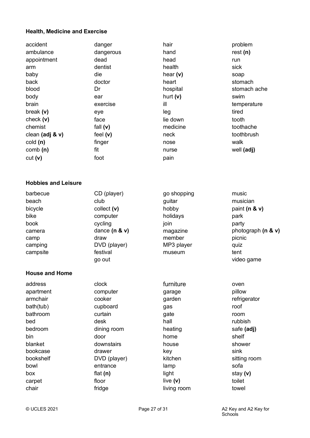#### **Health, Medicine and Exercise**

| danger     | hair       | problem    |
|------------|------------|------------|
| dangerous  | hand       | rest(n)    |
| dead       | head       | run        |
| dentist    | health     | sick       |
| die        | hear $(v)$ | soap       |
| doctor     | heart      | stomach    |
| Dr         | hospital   | stomach a  |
| ear        | hurt $(v)$ | swim       |
| exercise   | ill        | temperatur |
| eye        | leg        | tired      |
| face       | lie down   | tooth      |
| fall $(v)$ | medicine   | toothache  |
| feel $(v)$ | neck       | toothbrush |
| finger     | nose       | walk       |
| fit        | nurse      | well (adj) |
| foot       | pain       |            |
|            |            |            |

# hospital blood blood blood blood ache ill temperature

#### **Hobbies and Leisure**

| barbecue | CD (player)     | go shopping | music                |
|----------|-----------------|-------------|----------------------|
| beach    | club            | guitar      | musician             |
| bicycle  | collect $(v)$   | hobby       | paint ( $n \& v$ )   |
| bike     | computer        | holidays    | park                 |
| book     | cycling         | join        | party                |
| camera   | dance $(n & v)$ | magazine    | photograph $(n & v)$ |
| camp     | draw            | member      | picnic               |
| camping  | DVD (player)    | MP3 player  | quiz                 |
| campsite | festival        | museum      | tent                 |
|          | go out          |             | video game           |
|          |                 |             |                      |

#### **House and Home**

| address   | clock        | furniture   | oven         |
|-----------|--------------|-------------|--------------|
| apartment | computer     | garage      | pillow       |
| armchair  | cooker       | garden      | refrigerator |
| bath(tub) | cupboard     | gas         | roof         |
| bathroom  | curtain      | gate        | room         |
| bed       | desk         | hall        | rubbish      |
| bedroom   | dining room  | heating     | safe (adj)   |
| bin       | door         | home        | shelf        |
| blanket   | downstairs   | house       | shower       |
| bookcase  | drawer       | key         | sink         |
| bookshelf | DVD (player) | kitchen     | sitting room |
| bowl      | entrance     | lamp        | sofa         |
| box       | flat $(n)$   | light       | stay $(v)$   |
| carpet    | floor        | live $(v)$  | toilet       |
| chair     | fridge       | living room | towel        |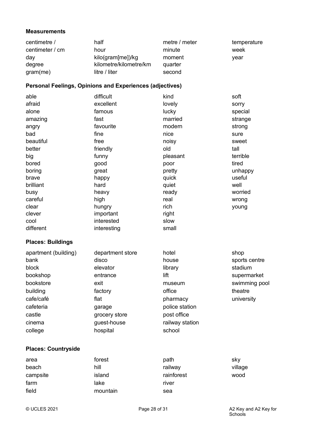#### **Measurements**

| centimetre /    | half                   | metre / meter | temperature |
|-----------------|------------------------|---------------|-------------|
| centimeter / cm | hour                   | minute        | week        |
| day             | kilo(gram[me])/kg      | moment        | vear        |
| degree          | kilometre/kilometre/km | quarter       |             |
| $gram$ (me)     | litre / liter          | second        |             |

## **Personal Feelings, Opinions and Experiences (adjectives)**

| able                       | difficult        | kind            | soft          |
|----------------------------|------------------|-----------------|---------------|
| afraid                     | excellent        | lovely          | sorry         |
| alone                      | famous           | lucky           | special       |
| amazing                    | fast             | married         | strange       |
| angry                      | favourite        | modern          | strong        |
| bad                        | fine             | nice            | sure          |
| beautiful                  | free             | noisy           | sweet         |
| better                     | friendly         | old             | tall          |
| big                        | funny            | pleasant        | terrible      |
| bored                      | good             | poor            | tired         |
| boring                     | great            | pretty          | unhappy       |
| brave                      | happy            | quick           | useful        |
| brilliant                  | hard             | quiet           | well          |
| busy                       | heavy            | ready           | worried       |
| careful                    | high             | real            | wrong         |
| clear                      | hungry           | rich            | young         |
| clever                     | important        | right           |               |
| cool                       | interested       | slow            |               |
| different                  | interesting      | small           |               |
| <b>Places: Buildings</b>   |                  |                 |               |
| apartment (building)       | department store | hotel           | shop          |
| bank                       | disco            | house           | sports centre |
| block                      | elevator         | library         | stadium       |
| bookshop                   | entrance         | lift            | supermarket   |
| bookstore                  | exit             | museum          | swimming pool |
| building                   | factory          | office          | theatre       |
| cafe/café                  | flat             | pharmacy        | university    |
| cafeteria                  | garage           | police station  |               |
| castle                     | grocery store    | post office     |               |
| cinema                     | guest-house      | railway station |               |
| college                    | hospital         | school          |               |
|                            |                  |                 |               |
| <b>Places: Countryside</b> |                  |                 |               |

| area     | forest   | path       | sky     |
|----------|----------|------------|---------|
| beach    | hill     | railway    | village |
| campsite | island   | rainforest | wood    |
| farm     | lake     | river      |         |
| field    | mountain | sea        |         |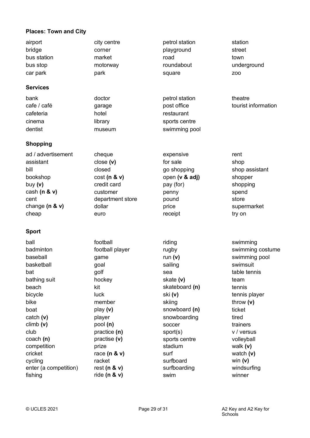## **Places: Town and City**

| airport               | city centre        | petrol station                | station             |
|-----------------------|--------------------|-------------------------------|---------------------|
| bridge                | corner             | playground                    | street              |
| bus station           | market             | road                          | town                |
| bus stop              | motorway           | roundabout                    | underground         |
| car park              | park               | square                        | Z <sub>OO</sub>     |
|                       |                    |                               |                     |
| <b>Services</b>       |                    |                               |                     |
| bank                  | doctor             | petrol station                | theatre             |
| cafe / café           | garage             | post office                   | tourist information |
| cafeteria             | hotel              | restaurant                    |                     |
| cinema                | library            | sports centre                 |                     |
| dentist               | museum             | swimming pool                 |                     |
| <b>Shopping</b>       |                    |                               |                     |
| ad / advertisement    | cheque             | expensive                     | rent                |
| assistant             | close(v)           | for sale                      | shop                |
| bill                  | closed             |                               | shop assistant      |
| bookshop              | cost(n & v)        | go shopping<br>open (v & adj) | shopper             |
| buy $(v)$             | credit card        | pay (for)                     | shopping            |
| cash ( $n$ & $v$ )    | customer           | penny                         | spend               |
| cent                  | department store   | pound                         | store               |
| change $(n & v)$      | dollar             | price                         | supermarket         |
| cheap                 | euro               | receipt                       | try on              |
|                       |                    |                               |                     |
| <b>Sport</b>          |                    |                               |                     |
| ball                  | football           | riding                        | swimming            |
| badminton             | football player    | rugby                         | swimming costume    |
| baseball              | game               | run $(v)$                     | swimming pool       |
| basketball            | goal               | sailing                       | swimsuit            |
| bat                   | golf               | sea                           | table tennis        |
| bathing suit          | hockey             | skate (v)                     | team                |
| beach                 | kit                | skateboard (n)                | tennis              |
| bicycle               | luck               | ski (v)                       | tennis player       |
| bike                  | member             | skiing                        | throw $(v)$         |
| boat                  | play $(v)$         | snowboard (n)                 | ticket              |
| catch $(v)$           | player             | snowboarding                  | tired               |
| climb(v)              | pool (n)           | soccer                        | trainers            |
| club                  | practice (n)       | sport(s)                      | v / versus          |
| $\cosh(n)$            | practise (v)       | sports centre                 | volleyball          |
| competition           | prize              | stadium                       | walk $(v)$          |
| cricket               | race $(n & v)$     | surf                          | watch $(v)$         |
| cycling               | racket             | surfboard                     | win $(v)$           |
| enter (a competition) | rest ( $n$ & $v$ ) | surfboarding                  | windsurfing         |
| fishing               | ride $(n & v)$     | swim                          | winner              |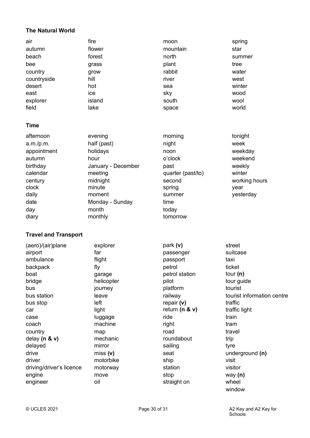## **The Natural World**

| fire               | moon              | spring        |
|--------------------|-------------------|---------------|
| flower             | mountain          | star          |
| forest             | north             | summer        |
| grass              | plant             | tree          |
| grow               | rabbit            | water         |
| hill               | river             | west          |
| hot                | sea               | winter        |
| ice                | sky               | wood          |
| island             | south             | wool          |
| lake               | space             | world         |
|                    |                   |               |
|                    |                   |               |
| evening            | morning           | tonight       |
| half (past)        | night             | week          |
| holidays           | noon              | weekday       |
| hour               | o'clock           | weekend       |
| January - December | past              | weekly        |
| meeting            | quarter (past/to) | winter        |
| midnight           | second            | working hours |
| minute             | spring            | year          |
| moment             | summer            | yesterday     |
| Monday - Sunday    | time              |               |
| month              | today             |               |
| monthly            | tomorrow          |               |
|                    |                   |               |

## **Travel and Transport**

| (aero)/(air)plane        | explorer   | park (v)            | street                     |
|--------------------------|------------|---------------------|----------------------------|
| airport                  | far        | passenger           | suitcase                   |
| ambulance                | flight     | passport            | taxi                       |
| backpack                 | fly        | petrol              | ticket                     |
| boat                     | garage     | petrol station      | tour $(n)$                 |
| bridge                   | helicopter | pilot               | tour guide                 |
| bus                      | journey    | platform            | tourist                    |
| bus station              | leave      | railway             | tourist information centre |
| bus stop                 | left       | repair $(v)$        | traffic                    |
| car                      | light      | return ( $n \& v$ ) | traffic light              |
| case                     | luggage    | ride                | train                      |
| coach                    | machine    | right               | tram                       |
| country                  | map        | road                | travel                     |
| delay $(n & v)$          | mechanic   | roundabout          | trip                       |
| delayed                  | mirror     | sailing             | tyre                       |
| drive                    | miss(v)    | seat                | underground (n)            |
| driver                   | motorbike  | ship                | visit                      |
| driving/driver's licence | motorway   | station             | visitor                    |
| engine                   | move       | stop                | way $(n)$                  |
| engineer                 | oil        | straight on         | wheel                      |
|                          |            |                     | window                     |